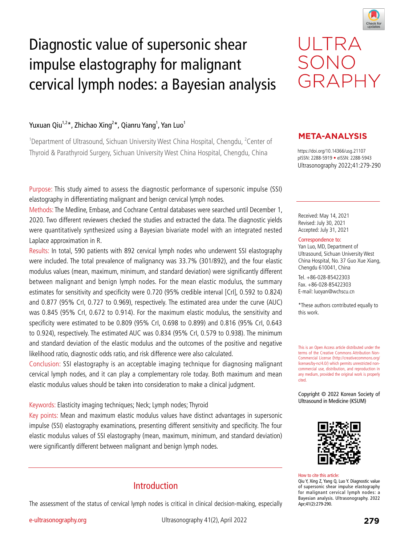

# Diagnostic value of supersonic shear impulse elastography for malignant cervical lymph nodes: a Bayesian analysis

## Yuxuan Qiu<sup>1,2</sup>\*, Zhichao Xing<sup>2</sup>\*, Qianru Yang<sup>1</sup>, Yan Luo<sup>1</sup>

<sup>1</sup>Department of Ultrasound, Sichuan University West China Hospital, Chengdu, <sup>2</sup>Center of Thyroid & Parathyroid Surgery, Sichuan University West China Hospital, Chengdu, China https://doi.org/10.14366/usg.21107

Purpose: This study aimed to assess the diagnostic performance of supersonic impulse (SSI) elastography in differentiating malignant and benign cervical lymph nodes.

Methods: The Medline, Embase, and Cochrane Central databases were searched until December 1, 2020. Two different reviewers checked the studies and extracted the data. The diagnostic yields were quantitatively synthesized using a Bayesian bivariate model with an integrated nested Laplace approximation in R.

Results: In total, 590 patients with 892 cervical lymph nodes who underwent SSI elastography were included. The total prevalence of malignancy was 33.7% (301/892), and the four elastic modulus values (mean, maximum, minimum, and standard deviation) were significantly different between malignant and benign lymph nodes. For the mean elastic modulus, the summary estimates for sensitivity and specificity were 0.720 (95% credible interval [CrI], 0.592 to 0.824) and 0.877 (95% CrI, 0.727 to 0.969), respectively. The estimated area under the curve (AUC) was 0.845 (95% CrI, 0.672 to 0.914). For the maximum elastic modulus, the sensitivity and specificity were estimated to be 0.809 (95% CrI, 0.698 to 0.899) and 0.816 (95% CrI, 0.643 to 0.924), respectively. The estimated AUC was 0.834 (95% CrI, 0.579 to 0.938). The minimum and standard deviation of the elastic modulus and the outcomes of the positive and negative likelihood ratio, diagnostic odds ratio, and risk difference were also calculated.

Conclusion: SSI elastography is an acceptable imaging technique for diagnosing malignant cervical lymph nodes, and it can play a complementary role today. Both maximum and mean elastic modulus values should be taken into consideration to make a clinical judgment.

## Keywords: Elasticity imaging techniques; Neck; Lymph nodes; Thyroid

Key points: Mean and maximum elastic modulus values have distinct advantages in supersonic impulse (SSI) elastography examinations, presenting different sensitivity and specificity. The four elastic modulus values of SSI elastography (mean, maximum, minimum, and standard deviation) were significantly different between malignant and benign lymph nodes.

## Introduction

The assessment of the status of cervical lymph nodes is critical in clinical decision-making, especially

# ULTRA SONO GRAPHY

## **META-ANALYSIS**

pISSN: 2288-5919 • eISSN: 2288-5943 Ultrasonography 2022;41:279-290

Received: May 14, 2021 Revised: July 30, 2021 Accepted: July 31, 2021

#### Correspondence to:

Yan Luo, MD, Department of Ultrasound, Sichuan University West China Hospital, No. 37 Guo Xue Xiang, Chengdu 610041, China

Tel. +86-028-85422303 Fax. +86-028-85422303 E-mail: luoyan@wchscu.cn

\*These authors contributed equally to this work.

This is an Open Access article distributed under the terms of the Creative Commons Attribution Non-Commercial License (http://creativecommons.org/ licenses/by-nc/4.0/) which permits unrestricted noncommercial use, distribution, and reproduction in any medium, provided the original work is properly cited.

Copyright © 2022 Korean Society of Ultrasound in Medicine (KSUM)



How to cite this article: Qiu Y, Xing Z, Yang Q, Luo Y. Diagnostic value of supersonic shear impulse elastography for malignant cervical lymph nodes: a Bayesian analysis. Ultrasonography. 2022

Apr;41(2):279-290.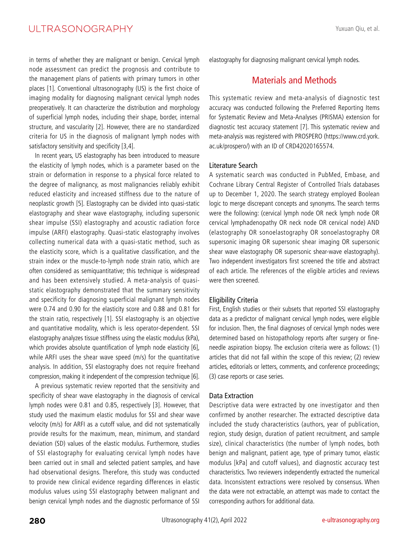in terms of whether they are malignant or benign. Cervical lymph node assessment can predict the prognosis and contribute to the management plans of patients with primary tumors in other places [1]. Conventional ultrasonography (US) is the first choice of imaging modality for diagnosing malignant cervical lymph nodes preoperatively. It can characterize the distribution and morphology of superficial lymph nodes, including their shape, border, internal structure, and vascularity [2]. However, there are no standardized criteria for US in the diagnosis of malignant lymph nodes with satisfactory sensitivity and specificity [3,4].

In recent years, US elastography has been introduced to measure the elasticity of lymph nodes, which is a parameter based on the strain or deformation in response to a physical force related to the degree of malignancy, as most malignancies reliably exhibit reduced elasticity and increased stiffness due to the nature of neoplastic growth [5]. Elastography can be divided into quasi-static elastography and shear wave elastography, including supersonic shear impulse (SSI) elastography and acoustic radiation force impulse (ARFI) elastography. Quasi-static elastography involves collecting numerical data with a quasi-static method, such as the elasticity score, which is a qualitative classification, and the strain index or the muscle-to-lymph node strain ratio, which are often considered as semiquantitative; this technique is widespread and has been extensively studied. A meta-analysis of quasistatic elastography demonstrated that the summary sensitivity and specificity for diagnosing superficial malignant lymph nodes were 0.74 and 0.90 for the elasticity score and 0.88 and 0.81 for the strain ratio, respectively [1]. SSI elastography is an objective and quantitative modality, which is less operator-dependent. SSI elastography analyzes tissue stiffness using the elastic modulus (kPa), which provides absolute quantification of lymph node elasticity [6], while ARFI uses the shear wave speed (m/s) for the quantitative analysis. In addition, SSI elastography does not require freehand compression, making it independent of the compression technique [6].

A previous systematic review reported that the sensitivity and specificity of shear wave elastography in the diagnosis of cervical lymph nodes were 0.81 and 0.85, respectively [3]. However, that study used the maximum elastic modulus for SSI and shear wave velocity (m/s) for ARFI as a cutoff value, and did not systematically provide results for the maximum, mean, minimum, and standard deviation (SD) values of the elastic modulus. Furthermore, studies of SSI elastography for evaluating cervical lymph nodes have been carried out in small and selected patient samples, and have had observational designs. Therefore, this study was conducted to provide new clinical evidence regarding differences in elastic modulus values using SSI elastography between malignant and benign cervical lymph nodes and the diagnostic performance of SSI

Yuxuan Qiu, et al.

elastography for diagnosing malignant cervical lymph nodes.

## Materials and Methods

This systematic review and meta-analysis of diagnostic test accuracy was conducted following the Preferred Reporting Items for Systematic Review and Meta-Analyses (PRISMA) extension for diagnostic test accuracy statement [7]. This systematic review and meta-analysis was registered with PROSPERO (https://www.crd.york. ac.uk/prospero/) with an ID of CRD42020165574.

#### Literature Search

A systematic search was conducted in PubMed, Embase, and Cochrane Library Central Register of Controlled Trials databases up to December 1, 2020. The search strategy employed Boolean logic to merge discrepant concepts and synonyms. The search terms were the following: (cervical lymph node OR neck lymph node OR cervical lymphadenopathy OR neck node OR cervical node) AND (elastography OR sonoelastography OR sonoelastography OR supersonic imaging OR supersonic shear imaging OR supersonic shear wave elastography OR supersonic shear-wave elastography). Two independent investigators first screened the title and abstract of each article. The references of the eligible articles and reviews were then screened.

## Eligibility Criteria

First, English studies or their subsets that reported SSI elastography data as a predictor of malignant cervical lymph nodes, were eligible for inclusion. Then, the final diagnoses of cervical lymph nodes were determined based on histopathology reports after surgery or fineneedle aspiration biopsy. The exclusion criteria were as follows: (1) articles that did not fall within the scope of this review; (2) review articles, editorials or letters, comments, and conference proceedings; (3) case reports or case series.

## Data Extraction

Descriptive data were extracted by one investigator and then confirmed by another researcher. The extracted descriptive data included the study characteristics (authors, year of publication, region, study design, duration of patient recruitment, and sample size), clinical characteristics (the number of lymph nodes, both benign and malignant, patient age, type of primary tumor, elastic modulus [kPa] and cutoff values), and diagnostic accuracy test characteristics. Two reviewers independently extracted the numerical data. Inconsistent extractions were resolved by consensus. When the data were not extractable, an attempt was made to contact the corresponding authors for additional data.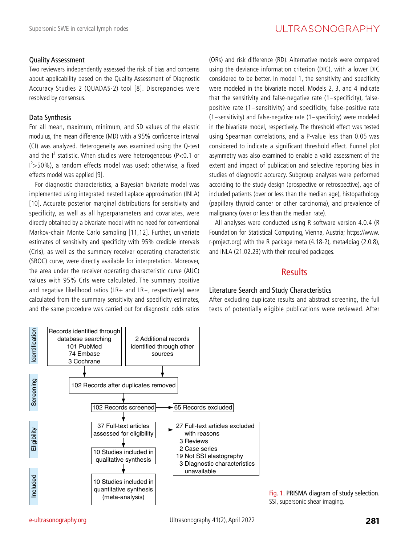## Quality Assessment

Two reviewers independently assessed the risk of bias and concerns about applicability based on the Quality Assessment of Diagnostic Accuracy Studies 2 (QUADAS-2) tool [8]. Discrepancies were resolved by consensus.

## Data Synthesis

For all mean, maximum, minimum, and SD values of the elastic modulus, the mean difference (MD) with a 95% confidence interval (CI) was analyzed. Heterogeneity was examined using the Q-test and the  $I^2$  statistic. When studies were heterogeneous (P<0.1 or I 2 >50%), a random effects model was used; otherwise, a fixed effects model was applied [9].

For diagnostic characteristics, a Bayesian bivariate model was implemented using integrated nested Laplace approximation (INLA) [10]. Accurate posterior marginal distributions for sensitivity and specificity, as well as all hyperparameters and covariates, were directly obtained by a bivariate model with no need for conventional Markov-chain Monte Carlo sampling [11,12]. Further, univariate estimates of sensitivity and specificity with 95% credible intervals (CrIs), as well as the summary receiver operating characteristic (SROC) curve, were directly available for interpretation. Moreover, the area under the receiver operating characteristic curve (AUC) values with 95% CrIs were calculated. The summary positive and negative likelihood ratios (LR+ and LR-, respectively) were calculated from the summary sensitivity and specificity estimates, and the same procedure was carried out for diagnostic odds ratios

(ORs) and risk difference (RD). Alternative models were compared using the deviance information criterion (DIC), with a lower DIC considered to be better. In model 1, the sensitivity and specificity were modeled in the bivariate model. Models 2, 3, and 4 indicate that the sensitivity and false-negative rate (1-specificity), falsepositive rate (1-sensitivity) and specificity, false-positive rate (1-sensitivity) and false-negative rate (1-specificity) were modeled in the bivariate model, respectively. The threshold effect was tested using Spearman correlations, and a P-value less than 0.05 was considered to indicate a significant threshold effect. Funnel plot asymmetry was also examined to enable a valid assessment of the extent and impact of publication and selective reporting bias in studies of diagnostic accuracy. Subgroup analyses were performed according to the study design (prospective or retrospective), age of included patients (over or less than the median age), histopathology (papillary thyroid cancer or other carcinoma), and prevalence of malignancy (over or less than the median rate).

All analyses were conducted using R software version 4.0.4 (R Foundation for Statistical Computing, Vienna, Austria; https://www. r-project.org) with the R package meta (4.18-2), meta4diag (2.0.8), and INLA (21.02.23) with their required packages.

## **Results**

## Literature Search and Study Characteristics

After excluding duplicate results and abstract screening, the full texts of potentially eligible publications were reviewed. After



Fig. 1. PRISMA diagram of study selection. SSI, supersonic shear imaging.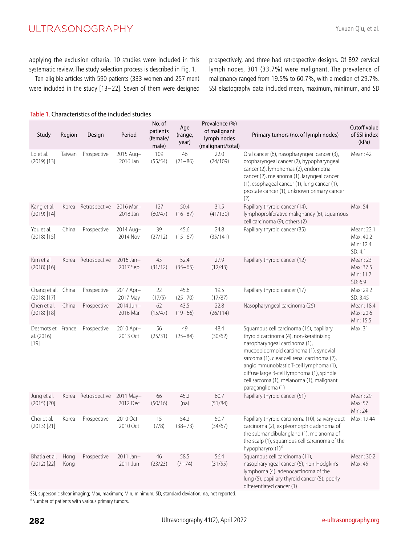applying the exclusion criteria, 10 studies were included in this systematic review. The study selection process is described in Fig. 1.

Ten eligible articles with 590 patients (333 women and 257 men) were included in the study [13-22]. Seven of them were designed

prospectively, and three had retrospective designs. Of 892 cervical lymph nodes, 301 (33.7%) were malignant. The prevalence of malignancy ranged from 19.5% to 60.7%, with a median of 29.7%. SSI elastography data included mean, maximum, minimum, and SD

| Study                              | Region       | Design        | Period                  | No. of<br>patients<br>(female/<br>male) | Age<br>(range,<br>year) | Prevalence (%)<br>of malignant<br>lymph nodes<br>(malignant/total) | Primary tumors (no. of lymph nodes)                                                                                                                                                                                                                                                                                                                                      | Cutoff value<br>of SSI index<br>(kPa)           |
|------------------------------------|--------------|---------------|-------------------------|-----------------------------------------|-------------------------|--------------------------------------------------------------------|--------------------------------------------------------------------------------------------------------------------------------------------------------------------------------------------------------------------------------------------------------------------------------------------------------------------------------------------------------------------------|-------------------------------------------------|
| Lo et al.<br>$(2019)$ [13]         | Taiwan       | Prospective   | 2015 Aug-<br>2016 Jan   | 109<br>(55/54)                          | 46<br>$(21 - 86)$       | 22.0<br>(24/109)                                                   | Oral cancer (6), nasopharyngeal cancer (3),<br>oropharyngeal cancer (2), hypopharyngeal<br>cancer (2), lymphomas (2), endometrial<br>cancer (2), melanoma (1), laryngeal cancer<br>(1), esophageal cancer (1), lung cancer (1),<br>prostate cancer (1), unknown primary cancer<br>(2)                                                                                    | Mean: 42                                        |
| Kang et al.<br>$(2019)$ [14]       | Korea        | Retrospective | 2016 Mar-<br>2018 Jan   | 127<br>(80/47)                          | 50.4<br>$(16 - 87)$     | 31.5<br>(41/130)                                                   | Papillary thyroid cancer (14),<br>lymphoproliferative malignancy (6), squamous<br>cell carcinoma (9), others (2)                                                                                                                                                                                                                                                         | Max: 54                                         |
| You et al.<br>$(2018)$ [15]        | China        | Prospective   | 2014 Aug-<br>2014 Nov   | 39<br>(27/12)                           | 45.6<br>$(15 - 67)$     | 24.8<br>(35/141)                                                   | Papillary thyroid cancer (35)                                                                                                                                                                                                                                                                                                                                            | Mean: 22.1<br>Max: 40.2<br>Min: 12.4<br>SD: 4.1 |
| Kim et al.<br>$(2018)$ [16]        | Korea        | Retrospective | 2016 Jan-<br>2017 Sep   | 43<br>(31/12)                           | 52.4<br>$(35 - 65)$     | 27.9<br>(12/43)                                                    | Papillary thyroid cancer (12)                                                                                                                                                                                                                                                                                                                                            | Mean: 23<br>Max: 37.5<br>Min: 11.7<br>SD: 6.9   |
| Chang et al.<br>$(2018)$ [17]      | China        | Prospective   | 2017 Apr-<br>2017 May   | 22<br>(17/5)                            | 45.6<br>$(25 - 70)$     | 19.5<br>(17/87)                                                    | Papillary thyroid cancer (17)                                                                                                                                                                                                                                                                                                                                            | Max: 29.2<br>SD: 3.45                           |
| Chen et al.<br>$(2018)$ [18]       | China        | Prospective   | 2014 Jun-<br>2016 Mar   | 62<br>(15/47)                           | 43.5<br>$(19 - 66)$     | 22.8<br>(26/114)                                                   | Nasopharyngeal carcinoma (26)                                                                                                                                                                                                                                                                                                                                            | Mean: 18.4<br>Max: 20.6<br>Min: 15.5            |
| Desmots et<br>al. (2016)<br>$[19]$ | France       | Prospective   | 2010 Apr-<br>2013 Oct   | 56<br>(25/31)                           | 49<br>$(25 - 84)$       | 48.4<br>(30/62)                                                    | Squamous cell carcinoma (16), papillary<br>thyroid carcinoma (4), non-keratinizing<br>nasopharyngeal carcinoma (1),<br>mucoepidermoid carcinoma (1), synovial<br>sarcoma (1), clear cell renal carcinoma (2),<br>angioimmunoblastic T-cell lymphoma (1),<br>diffuse large B-cell lymphoma (1), spindle<br>cell sarcoma (1), melanoma (1), malignant<br>paraganglioma (1) | Max: 31                                         |
| Jung et al.<br>$(2015)$ [20]       | Korea        | Retrospective | 2011 May-<br>2012 Dec   | 66<br>(50/16)                           | 45.2<br>(na)            | 60.7<br>(51/84)                                                    | Papillary thyroid cancer (51)                                                                                                                                                                                                                                                                                                                                            | Mean: 29<br>Max: 57<br>Min: 24                  |
| Choi et al.<br>$(2013)$ [21]       | Korea        | Prospective   | 2010 Oct-<br>2010 Oct   | 15<br>(7/8)                             | 54.2<br>$(38 - 73)$     | 50.7<br>(34/67)                                                    | Papillary thyroid carcinoma (10), salivary duct<br>carcinoma (2), ex pleomorphic adenoma of<br>the submandibular gland (1), melanoma of<br>the scalp (1), squamous cell carcinoma of the<br>hypopharynx (1) <sup>a)</sup>                                                                                                                                                | Max: 19.44                                      |
| Bhatia et al.<br>$(2012)$ [22]     | Hong<br>Kong | Prospective   | $2011$ Jan-<br>2011 Jun | 46<br>(23/23)                           | 58.5<br>$(7 - 74)$      | 56.4<br>(31/55)                                                    | Squamous cell carcinoma (11),<br>nasopharyngeal cancer (5), non-Hodgkin's<br>lymphoma (4), adenocarcinoma of the<br>lung (5), papillary thyroid cancer (5), poorly<br>differentiated cancer (1)                                                                                                                                                                          | Mean: 30.2<br>Max: 45                           |

Table 1. Characteristics of the included studies

SSI, supersonic shear imaging; Max, maximum; Min, minimum; SD, standard deviation; na, not reported.

a)Number of patients with various primary tumors.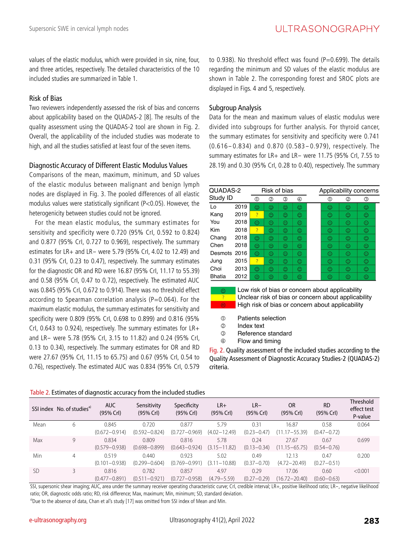values of the elastic modulus, which were provided in six, nine, four, and three articles, respectively. The detailed characteristics of the 10 included studies are summarized in Table 1.

## Risk of Bias

Two reviewers independently assessed the risk of bias and concerns about applicability based on the QUADAS-2 [8]. The results of the quality assessment using the QUADAS-2 tool are shown in Fig. 2. Overall, the applicability of the included studies was moderate to high, and all the studies satisfied at least four of the seven items.

#### Diagnostic Accuracy of Different Elastic Modulus Values

Comparisons of the mean, maximum, minimum, and SD values of the elastic modulus between malignant and benign lymph nodes are displayed in Fig. 3. The pooled differences of all elastic modulus values were statistically significant (P<0.05). However, the heterogenicity between studies could not be ignored.

For the mean elastic modulus, the summary estimates for sensitivity and specificity were 0.720 (95% CrI, 0.592 to 0.824) and 0.877 (95% CrI, 0.727 to 0.969), respectively. The summary estimates for LR+ and LR- were 5.79 (95% CrI, 4.02 to 12.49) and 0.31 (95% CrI, 0.23 to 0.47), respectively. The summary estimates for the diagnostic OR and RD were 16.87 (95% CrI, 11.17 to 55.39) and 0.58 (95% CrI, 0.47 to 0.72), respectively. The estimated AUC was 0.845 (95% CrI, 0.672 to 0.914). There was no threshold effect according to Spearman correlation analysis ( $P=0.064$ ). For the maximum elastic modulus, the summary estimates for sensitivity and specificity were 0.809 (95% CrI, 0.698 to 0.899) and 0.816 (95% CrI, 0.643 to 0.924), respectively. The summary estimates for LR+ and LR- were 5.78 (95% CrI, 3.15 to 11.82) and 0.24 (95% CrI, 0.13 to 0.34), respectively. The summary estimates for OR and RD were 27.67 (95% CrI, 11.15 to 65.75) and 0.67 (95% CrI, 0.54 to 0.76), respectively. The estimated AUC was 0.834 (95% CrI, 0.579

to 0.938). No threshold effect was found ( $P=0.699$ ). The details regarding the minimum and SD values of the elastic modulus are shown in Table 2. The corresponding forest and SROC plots are displayed in Figs. 4 and 5, respectively.

#### Subgroup Analysis

Data for the mean and maximum values of elastic modulus were divided into subgroups for further analysis. For thyroid cancer, the summary estimates for sensitivity and specificity were 0.741 (0.616-0.834) and 0.870 (0.583-0.979), respectively. The summary estimates for LR+ and LR- were 11.75 (95% CrI, 7.55 to 28.19) and 0.30 (95% CrI, 0.28 to 0.40), respectively. The summary

| QUADAS-2      |      |              | Risk of bias |   |   | Applicability concerns |   |   |   |  |  |
|---------------|------|--------------|--------------|---|---|------------------------|---|---|---|--|--|
| Study ID      |      | ⋒            | Ø            | ③ | ④ |                        | ® | ② | ③ |  |  |
| Lo            | 2019 | ⊙            | ⊙            | ⊙ | ☺ |                        | ⊙ | ⊙ | ☺ |  |  |
| Kang          | 2019 | ?            | ⊙            | ☺ | ☺ |                        | ⊙ | ☺ | ☺ |  |  |
| You           | 2018 | ⊙            | ⊙            | ☺ | ☺ |                        | ⊙ | ⊙ | ☺ |  |  |
| Kim           | 2018 | <sup>2</sup> | ☺            | ☺ | ☺ |                        | ☺ | ⊙ | ☺ |  |  |
| Chang         | 2018 | ☺            | ⊙            | ☺ | ⊙ |                        | ☺ | ⊙ | ☺ |  |  |
| Chen          | 2018 | ⊙            | ⊙            | ☺ | ☺ |                        | ☺ | ☺ | ☺ |  |  |
| Desmots 2016  |      | ☺            | ☺            | ☺ | ☺ |                        | ☺ | ☺ | ☺ |  |  |
| Jung          | 2015 | <sup>2</sup> | ☺            | ☺ | ☺ |                        | ☺ | ☺ | ☺ |  |  |
| Choi          | 2013 | ☺            | ⊙            | ☺ | ☺ |                        | ☺ | ☺ | ☺ |  |  |
| <b>Bhatia</b> | 2012 | ⊙            | ☺            | ☺ | ☺ |                        | ⊙ | ☺ | ☺ |  |  |

Low risk of bias or concern about applicability Unclear risk of bias or concern about applicability High risk of bias or concern about applicability

- $\circledR$ Patients selection
- $^{\circ}$ Index text
- $\circledcirc$ Reference standard
- $\overline{A}$ Flow and timing

Fig. 2. Quality assessment of the included studies according to the Quality Assessment of Diagnostic Accuracy Studies-2 (QUADAS-2) criteria.

| Table 2. Estimates of diagnostic accuracy from the included studies |  |  |
|---------------------------------------------------------------------|--|--|
|---------------------------------------------------------------------|--|--|

|      | SSI index No. of studies <sup>a)</sup> | <b>AUC</b><br>(95% Crl)    | Sensitivity<br>$(95%$ Crl $)$ | Specificity<br>(95% Crl)   | $LR+$<br>(95% Crl)       | $LR-$<br>(95% Crl)      | <b>OR</b><br>(95% Crl)      | <b>RD</b><br>(95% Crl)  | <b>Threshold</b><br>effect test<br>P-value |
|------|----------------------------------------|----------------------------|-------------------------------|----------------------------|--------------------------|-------------------------|-----------------------------|-------------------------|--------------------------------------------|
| Mean | 6                                      | 0.845<br>$(0.672 - 0.914)$ | 0.720<br>$(0.592 - 0.824)$    | 0.877<br>$(0.727 - 0.969)$ | 5.79<br>$(4.02 - 12.49)$ | 0.31<br>$(0.23 - 0.47)$ | 16.87<br>17-55.39)<br>(11.1 | 0.58<br>$(0.47 - 0.72)$ | 0.064                                      |
| Max  | 9                                      | 0.834<br>$(0.579 - 0.938)$ | 0.809<br>$(0.698 - 0.899)$    | 0.816<br>$(0.643 - 0.924)$ | 5.78<br>$(3.15 - 11.82)$ | 0.24<br>$(0.13 - 0.34)$ | 27.67<br>$(11.15 - 65.75)$  | 0.67<br>$(0.54 - 0.76)$ | 0.699                                      |
| Min  | 4                                      | 0.519<br>$(0.101 - 0.938)$ | 0.440<br>$(0.299 - 0.604)$    | 0.923<br>$(0.769 - 0.991)$ | 5.02<br>$(3.11 - 10.88)$ | 0.49<br>$(0.37 - 0.70)$ | 12.13<br>$(4.72 - 20.49)$   | 0.47<br>$(0.27 - 0.51)$ | 0.200                                      |
| SD.  |                                        | 0.816<br>$(0.477 - 0.891)$ | 0.782<br>$(0.511 - 0.921)$    | 0.857<br>$(0.727 - 0.958)$ | 4.97<br>$(4.79 - 5.59)$  | 0.29<br>$(0.27 - 0.29)$ | 17.06<br>$(16.72 - 20.40)$  | 0.60<br>$(0.60 - 0.63)$ | < 0.001                                    |

SSI, supersonic shear imaging; AUC, area under the summary receiver operating characteristic curve; CrI, credible interval; LR+, positive likelihood ratio; LR-, negative likelihood ratio; OR, diagnostic odds ratio; RD, risk difference; Max, maximum; Min, minimum; SD, standard deviation.

<sup>a)</sup>Due to the absence of data, Chan et al's study [17] was omitted from SSI index of Mean and Min.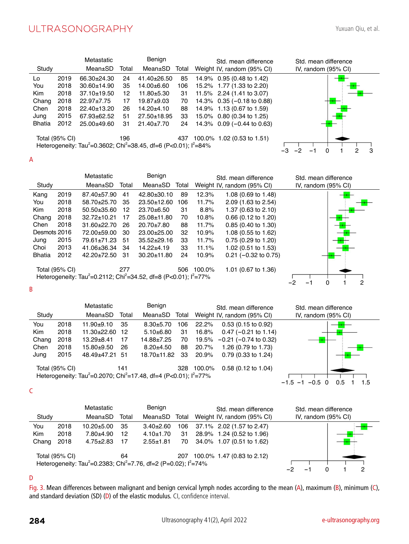|               |                | Metastatic                                                                                           |       | Benign           |       | Std. mean difference<br>Std. mean difference                 |        |
|---------------|----------------|------------------------------------------------------------------------------------------------------|-------|------------------|-------|--------------------------------------------------------------|--------|
| Study         |                | Mean±SD                                                                                              | Total | Mean±SD          | Total | Weight IV, random (95% CI)<br>IV, random $(95\% \text{ Cl})$ |        |
| Lo            | 2019           | 66.30±24.30                                                                                          | 24    | $41.40\pm26.50$  | 85    | 14.9% 0.95 (0.48 to 1.42)                                    |        |
| You           | 2018           | $30.60 \pm 14.90$                                                                                    | 35    | $14.00 + 6.60$   | 106   | 15.2% 1.77 (1.33 to 2.20)                                    |        |
| <b>Kim</b>    | 2018           | $37.10 \pm 19.50$                                                                                    | 12    | 11.80±5.30       | -31   | 11.5% 2.24 (1.41 to 3.07)                                    |        |
| Chang         | 2018           | $22.97 \pm 7.75$                                                                                     | 17    | $19.87 + 9.03$   | 70    | 14.3% 0.35 (-0.18 to 0.88)                                   |        |
| Chen          | 2018           | 22.40±13.20                                                                                          | 26    | 14.20±4.10       | 88    | 14.9% 1.13 (0.67 to 1.59)                                    |        |
| Jung          | 2015           | 67.93±62.52                                                                                          | 51    | 27.50±18.95      | 33    | 15.0% 0.80 (0.34 to 1.25)                                    |        |
| <b>Bhatia</b> | 2012           | 25.00±49.60                                                                                          | 31    | $21.40 \pm 7.70$ | 24    | 14.3% 0.09 (-0.44 to 0.63)                                   |        |
|               | Total (95% CI) | Heterogeneity: Tau <sup>2</sup> =0.3602; Chi <sup>2</sup> =38.45, df=6 (P<0.01); l <sup>2</sup> =84% | 196   |                  | 437   | 100.0% 1.02 (0.53 to 1.51)                                   | 3<br>2 |
|               |                |                                                                                                      |       |                  |       |                                                              |        |

A

|               |                | Metastatic                                                                                           |       | Benign            |       |        | Std. mean difference          | Std. mean difference           |
|---------------|----------------|------------------------------------------------------------------------------------------------------|-------|-------------------|-------|--------|-------------------------------|--------------------------------|
| Study         |                | Mean±SD                                                                                              | Total | Mean±SD           | Total |        | Weight IV, random (95% CI)    | IV, random $(95\% \text{ Cl})$ |
| Kang          | 2019           | 87.40±57.90                                                                                          | 41    | 42.80±30.10       | 89    | 12.3%  | 1.08 (0.69 to 1.48)           |                                |
| You           | 2018           | 58.70±25.70                                                                                          | 35    | $23.50 \pm 12.60$ | 106   | 11.7%  | 2.09 (1.63 to 2.54)           |                                |
| Kim           | 2018           | $50.50\pm35.60$                                                                                      | 12    | $23.70\pm 6.50$   | 31    | 8.8%   | 1.37 (0.63 to 2.10)           |                                |
| Chang         | 2018           | 32.72±10.21                                                                                          | 17    | 25.08±11.80       | 70    | 10.8%  | $0.66$ (0.12 to 1.20)         |                                |
| Chen          | 2018           | 31.60±22.70                                                                                          | 26    | $20.70 \pm 7.80$  | 88    | 11.7%  | $0.85(0.40 \text{ to } 1.30)$ |                                |
| Desmots 2016  |                | 72.00±59.00                                                                                          | 30    | $23.00+25.00$     | 32    | 10.9%  | 1.08 (0.55 to 1.62)           |                                |
| Jung          | 2015           | 79.61±71.23                                                                                          | 51    | $35.52 \pm 29.16$ | 33    | 11.7%  | $0.75(0.29)$ to 1.20)         |                                |
| Choi          | 2013           | 41.06±36.34                                                                                          | 34    | $14.22 + 4.19$    | 33    | 11.1%  | 1.02 (0.51 to 1.53)           |                                |
| <b>Bhatia</b> | 2012           | 42.20±72.50                                                                                          | -31   | $30.20 \pm 11.80$ | 24    | 10.9%  | $0.21$ (-0.32 to 0.75)        |                                |
|               | Total (95% CI) |                                                                                                      | 277   |                   | 506   | 100.0% | 1.01 (0.67 to 1.36)           |                                |
|               |                | Heterogeneity: Tau <sup>2</sup> =0.2112; Chi <sup>2</sup> =34.52, df=8 (P<0.01); l <sup>2</sup> =77% |       |                   |       |        |                               |                                |
| B             |                |                                                                                                      |       |                   |       |        |                               | 0<br>2                         |

|            |                | Metastatic                                                                                           |       | Benign        |       |        | Std. mean difference       | Std. mean difference                  |
|------------|----------------|------------------------------------------------------------------------------------------------------|-------|---------------|-------|--------|----------------------------|---------------------------------------|
| Study      |                | Mean±SD                                                                                              | Total | Mean±SD       | Total |        | Weight IV, random (95% CI) | IV, random (95% CI)                   |
| You        | 2018           | $11.90+9.10$                                                                                         | 35    | $8.30 + 5.70$ | 106   | 22.2%  | $0.53$ (0.15 to 0.92)      |                                       |
| <b>Kim</b> | 2018           | 11.30±22.60                                                                                          | 12    | $5.10 + 6.80$ | 31    | 16.8%  | $0.47$ (-0.21 to 1.14)     |                                       |
| Chang      | 2018           | $13.29 + 8.41$                                                                                       | 17    | 14.88±7.25    | 70    | 19.5%  | $-0.21$ ( $-0.74$ to 0.32) |                                       |
| Chen       | 2018           | 15.80±9.50                                                                                           | 26    | $8.20 + 4.50$ | 88    | 20.7%  | 1.26 (0.79 to 1.73)        |                                       |
| Jung       | 2015           | 48.49±47.21 51                                                                                       |       | 18.70±11.82   | 33    | 20.9%  | $0.79$ (0.33 to 1.24)      |                                       |
|            | Total (95% CI) |                                                                                                      | 141   |               | 328   | 100.0% | $0.58$ (0.12 to 1.04)      |                                       |
|            |                | Heterogeneity: Tau <sup>2</sup> =0.2070; Chi <sup>2</sup> =17.48, df=4 (P<0.01); l <sup>2</sup> =77% |       |               |       |        |                            |                                       |
|            |                |                                                                                                      |       |               |       |        |                            | 1.5<br>$-1.5$<br>$-0.5$<br>0.5<br>- 1 |

C

|            |                | Metastatic                                                                                          |       | Benign          |       | Std. mean difference       | Std. mean difference |
|------------|----------------|-----------------------------------------------------------------------------------------------------|-------|-----------------|-------|----------------------------|----------------------|
| Study      |                | Mean±SD                                                                                             | Total | Mean±SD         | Total | Weight IV, random (95% CI) | IV, random (95% CI)  |
| You        | 2018           | $10.20 + 5.00$                                                                                      | 35    | $3.40 \pm 2.60$ | 106   | 37.1% 2.02 (1.57 to 2.47)  |                      |
| <b>Kim</b> | 2018           | $7.80 + 4.90$                                                                                       | 12    | $4.10 + 1.70$   | 31    | 28.9% 1.24 (0.52 to 1.96)  |                      |
| Chang      | 2018           | $4.75 \pm 2.83$                                                                                     | 17    | $2.55 + 1.81$   | 70    | 34.0% 1.07 (0.51 to 1.62)  |                      |
|            | Total (95% CI) | Heterogeneity: Tau <sup>2</sup> =0.2383; Chi <sup>2</sup> =7.76, df=2 (P=0.02); l <sup>2</sup> =74% | 64    |                 | 207   | 100.0% 1.47 (0.83 to 2.12) | 2                    |

## D

Fig. 3. Mean differences between malignant and benign cervical lymph nodes according to the mean (A), maximum (B), minimum (C), and standard deviation (SD) (D) of the elastic modulus. CI, confidence interval.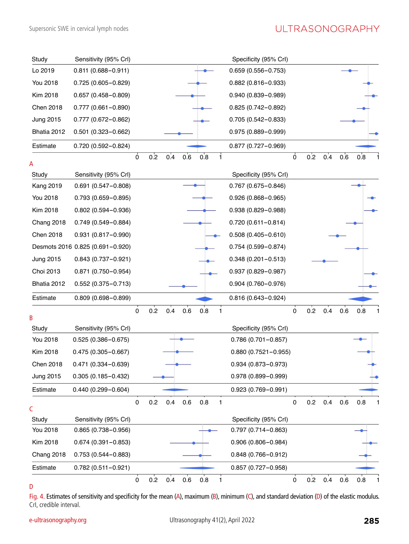| Study            | Sensitivity (95% Crl)            |             |     |     |         |     |   | Specificity (95% Crl)   |                |     |     |     |     |
|------------------|----------------------------------|-------------|-----|-----|---------|-----|---|-------------------------|----------------|-----|-----|-----|-----|
| Lo 2019          | $0.811(0.688 - 0.911)$           |             |     |     |         |     |   | $0.659(0.556 - 0.753)$  |                |     |     |     |     |
| You 2018         | $0.725(0.605 - 0.829)$           |             |     |     |         |     |   | $0.882(0.816 - 0.933)$  |                |     |     |     |     |
| Kim 2018         | $0.657(0.458 - 0.809)$           |             |     |     |         |     |   | $0.940(0.839 - 0.989)$  |                |     |     |     |     |
| Chen 2018        | $0.777(0.661 - 0.890)$           |             |     |     |         |     |   | $0.825(0.742 - 0.892)$  |                |     |     |     |     |
| <b>Jung 2015</b> | $0.777(0.672 - 0.862)$           |             |     |     |         |     |   | $0.705(0.542 - 0.833)$  |                |     |     |     |     |
| Bhatia 2012      | $0.501(0.323 - 0.662)$           |             |     |     |         |     |   | $0.975(0.889 - 0.999)$  |                |     |     |     |     |
| Estimate         | $0.720(0.592 - 0.824)$           |             |     |     |         |     |   | $0.877(0.727 - 0.969)$  |                |     |     |     |     |
| Α                |                                  | $\mathbf 0$ | 0.2 | 0.4 | 0.6     | 0.8 | 1 |                         | $\overline{0}$ | 0.2 | 0.4 | 0.6 | 0.8 |
| Study            | Sensitivity (95% Crl)            |             |     |     |         |     |   | Specificity (95% CrI)   |                |     |     |     |     |
| <b>Kang 2019</b> | $0.691(0.547 - 0.808)$           |             |     |     |         |     |   | $0.767(0.675 - 0.846)$  |                |     |     |     |     |
| <b>You 2018</b>  | $0.793(0.659 - 0.895)$           |             |     |     |         |     |   | $0.926(0.868 - 0.965)$  |                |     |     |     |     |
| Kim 2018         | $0.802(0.594 - 0.936)$           |             |     |     |         |     |   | $0.938(0.829 - 0.988)$  |                |     |     |     |     |
| Chang 2018       | $0.749(0.549 - 0.884)$           |             |     |     |         |     |   | $0.720(0.611 - 0.814)$  |                |     |     |     |     |
| Chen 2018        | $0.931(0.817 - 0.990)$           |             |     |     |         |     |   | $0.508(0.405 - 0.610)$  |                |     |     |     |     |
|                  | Desmots 2016 0.825 (0.691-0.920) |             |     |     |         |     |   | $0.754(0.599 - 0.874)$  |                |     |     |     |     |
| <b>Jung 2015</b> | $0.843(0.737 - 0.921)$           |             |     |     |         |     |   | $0.348(0.201 - 0.513)$  |                |     |     |     |     |
| Choi 2013        | 0.871 (0.750-0.954)              |             |     |     |         |     |   | $0.937(0.829 - 0.987)$  |                |     |     |     |     |
| Bhatia 2012      | $0.552(0.375 - 0.713)$           |             |     |     |         |     |   | $0.904(0.760 - 0.976)$  |                |     |     |     |     |
| Estimate         | $0.809(0.698 - 0.899)$           |             |     |     |         |     |   | $0.816(0.643 - 0.924)$  |                |     |     |     |     |
| B                |                                  | $\mathbf 0$ | 0.2 | 0.4 | 0.6     | 0.8 | 1 |                         | $\mathbf 0$    | 0.2 | 0.4 | 0.6 | 0.8 |
| Study            | Sensitivity (95% Crl)            |             |     |     |         |     |   | Specificity (95% CrI)   |                |     |     |     |     |
| You 2018         | $0.525(0.386 - 0.675)$           |             |     |     |         |     |   | $0.786(0.701 - 0.857)$  |                |     |     |     |     |
| Kim 2018         | $0.475(0.305 - 0.667)$           |             |     |     |         |     |   | $0.880(0.7521 - 0.955)$ |                |     |     |     |     |
| <b>Chen 2018</b> | $0.471(0.334 - 0.639)$           |             |     |     |         |     |   | 0.934 (0.873-0.973)     |                |     |     |     |     |
| <b>Jung 2015</b> | $0.305(0.185 - 0.432)$           |             |     |     |         |     |   | $0.978(0.899 - 0.999)$  |                |     |     |     |     |
| Estimate         | $0.440(0.299 - 0.604)$           |             |     |     |         |     |   | $0.923(0.769 - 0.991)$  |                |     |     |     |     |
| C                |                                  | 0           | 0.2 | 0.4 | $0.6\,$ | 0.8 | 1 |                         | 0              | 0.2 | 0.4 | 0.6 | 0.8 |
| Study            | Sensitivity (95% Crl)            |             |     |     |         |     |   | Specificity (95% Crl)   |                |     |     |     |     |
| You 2018         | $0.865(0.738 - 0.956)$           |             |     |     |         |     |   | $0.797(0.714 - 0.863)$  |                |     |     |     |     |
| Kim 2018         | $0.674(0.391 - 0.853)$           |             |     |     |         |     |   | $0.906(0.806 - 0.984)$  |                |     |     |     |     |
| Chang 2018       | $0.753(0.544 - 0.883)$           |             |     |     |         |     |   | $0.848(0.766 - 0.912)$  |                |     |     |     |     |
| Estimate         | $0.782(0.511 - 0.921)$           |             |     |     |         |     |   | $0.857(0.727 - 0.958)$  |                |     |     |     |     |
|                  |                                  | $\pmb{0}$   | 0.2 | 0.4 | 0.6     | 0.8 | 1 |                         | $\pmb{0}$      | 0.2 | 0.4 | 0.6 | 0.8 |



Fig. 4. Estimates of sensitivity and specificity for the mean (A), maximum (B), minimum (C), and standard deviation (D) of the elastic modulus. CrI, credible interval.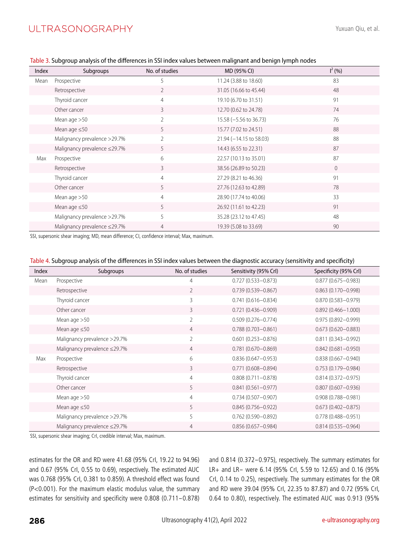| Index | Subgroups                    | No. of studies | MD (95% CI)             | $I^2(96)$ |
|-------|------------------------------|----------------|-------------------------|-----------|
| Mean  | Prospective                  | 5              | 11.24 (3.88 to 18.60)   | 83        |
|       | Retrospective                | $\overline{2}$ | 31.05 (16.66 to 45.44)  | 48        |
|       | Thyroid cancer               | $\overline{4}$ | 19.10 (6.70 to 31.51)   | 91        |
|       | Other cancer                 | $\mathcal{E}$  | 12.70 (0.62 to 24.78)   | 74        |
|       | Mean age $>50$               | $\overline{2}$ | 15.58 (-5.56 to 36.73)  | 76        |
|       | Mean age $\leq 50$           | 5              | 15.77 (7.02 to 24.51)   | 88        |
|       | Malignancy prevalence >29.7% | $\overline{2}$ | 21.94 (-14.15 to 58.03) | 88        |
|       | Malignancy prevalence ≤29.7% | 5              | 14.43 (6.55 to 22.31)   | 87        |
| Max   | Prospective                  | 6              | 22.57 (10.13 to 35.01)  | 87        |
|       | Retrospective                | 3              | 38.56 (26.89 to 50.23)  | $\Omega$  |
|       | Thyroid cancer               | $\overline{4}$ | 27.29 (8.21 to 46.36)   | 91        |
|       | Other cancer                 | 5              | 27.76 (12.63 to 42.89)  | 78        |
|       | Mean age $>50$               | $\overline{4}$ | 28.90 (17.74 to 40.06)  | 33        |
|       | Mean age $\leq 50$           | 5              | 26.92 (11.61 to 42.23)  | 91        |
|       | Malignancy prevalence >29.7% | 5              | 35.28 (23.12 to 47.45)  | 48        |
|       | Malignancy prevalence ≤29.7% | 4              | 19.39 (5.08 to 33.69)   | 90        |

Table 3. Subgroup analysis of the differences in SSI index values between malignant and benign lymph nodes

SSI, supersonic shear imaging; MD, mean difference; CI, confidence interval; Max, maximum.

| Table 4. Subgroup analysis of the differences in SSI index values between the diagnostic accuracy (sensitivity and specificity) |  |  |  |
|---------------------------------------------------------------------------------------------------------------------------------|--|--|--|
|                                                                                                                                 |  |  |  |

| Index | Subgroups                    | No. of studies | Sensitivity (95% Crl)  | Specificity (95% Crl)  |
|-------|------------------------------|----------------|------------------------|------------------------|
| Mean  | Prospective                  | $\overline{4}$ | $0.727(0.533 - 0.873)$ | $0.877(0.675 - 0.983)$ |
|       | Retrospective                | $\overline{2}$ | $0.739(0.539 - 0.867)$ | $0.863(0.170 - 0.998)$ |
|       | Thyroid cancer               | 3              | $0.741(0.616 - 0.834)$ | $0.870(0.583 - 0.979)$ |
|       | Other cancer                 | 3              | $0.721(0.436 - 0.909)$ | $0.892(0.466 - 1.000)$ |
|       | Mean age $>50$               | $\overline{2}$ | $0.509(0.276 - 0.774)$ | $0.975(0.892 - 0.999)$ |
|       | Mean age $\leq 50$           | $\overline{4}$ | $0.788(0.703 - 0.861)$ | $0.673(0.620 - 0.883)$ |
|       | Malignancy prevalence >29.7% | $\overline{2}$ | $0.601(0.253 - 0.876)$ | $0.811(0.343 - 0.992)$ |
|       | Malignancy prevalence ≤29.7% | $\overline{4}$ | $0.781(0.670 - 0.869)$ | $0.842(0.681 - 0.950)$ |
| Max   | Prospective                  | 6              | $0.836(0.647 - 0.953)$ | $0.838(0.667 - 0.940)$ |
|       | Retrospective                | 3              | $0.771(0.608 - 0.894)$ | $0.753(0.179 - 0.984)$ |
|       | Thyroid cancer               | $\overline{4}$ | $0.808(0.711 - 0.878)$ | $0.814(0.372 - 0.975)$ |
|       | Other cancer                 | 5              | $0.841(0.561 - 0.977)$ | $0.807(0.607 - 0.936)$ |
|       | Mean age $>50$               | $\overline{4}$ | $0.734(0.507 - 0.907)$ | $0.908(0.788 - 0.981)$ |
|       | Mean age $\leq 50$           | 5              | $0.845(0.756 - 0.922)$ | $0.673(0.402 - 0.875)$ |
|       | Malignancy prevalence >29.7% | 5              | $0.762(0.590 - 0.892)$ | $0.778(0.488 - 0.951)$ |
|       | Malignancy prevalence ≤29.7% | $\overline{4}$ | $0.856(0.657 - 0.984)$ | $0.814(0.535 - 0.964)$ |

SSI, supersonic shear imaging; CrI, credible interval; Max, maximum.

estimates for the OR and RD were 41.68 (95% CrI, 19.22 to 94.96) and 0.67 (95% CrI, 0.55 to 0.69), respectively. The estimated AUC was 0.768 (95% CrI, 0.381 to 0.859). A threshold effect was found (P<0.001). For the maximum elastic modulus value, the summary estimates for sensitivity and specificity were 0.808 (0.711-0.878) and 0.814 (0.372-0.975), respectively. The summary estimates for LR+ and LR- were 6.14 (95% CrI, 5.59 to 12.65) and 0.16 (95% CrI, 0.14 to 0.25), respectively. The summary estimates for the OR and RD were 39.04 (95% CrI, 22.35 to 87.87) and 0.72 (95% CrI, 0.64 to 0.80), respectively. The estimated AUC was 0.913 (95%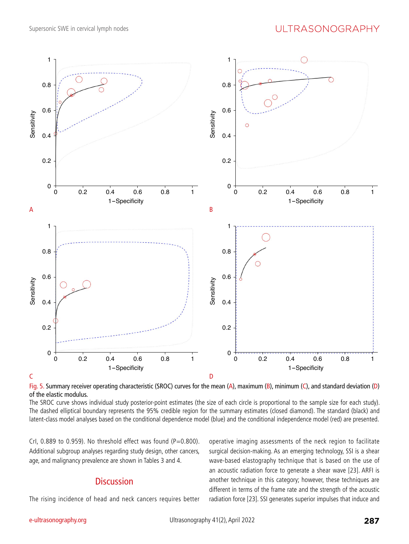

Fig. 5. Summary receiver operating characteristic (SROC) curves for the mean (A), maximum (B), minimum (C), and standard deviation (D) of the elastic modulus.

The SROC curve shows individual study posterior-point estimates (the size of each circle is proportional to the sample size for each study). The dashed elliptical boundary represents the 95% credible region for the summary estimates (closed diamond). The standard (black) and latent-class model analyses based on the conditional dependence model (blue) and the conditional independence model (red) are presented.

CrI,  $0.889$  to  $0.959$ ). No threshold effect was found (P=0.800). Additional subgroup analyses regarding study design, other cancers, age, and malignancy prevalence are shown in Tables 3 and 4.

## **Discussion**

The rising incidence of head and neck cancers requires better

operative imaging assessments of the neck region to facilitate surgical decision-making. As an emerging technology, SSI is a shear wave-based elastography technique that is based on the use of an acoustic radiation force to generate a shear wave [23]. ARFI is another technique in this category; however, these techniques are different in terms of the frame rate and the strength of the acoustic radiation force [23]. SSI generates superior impulses that induce and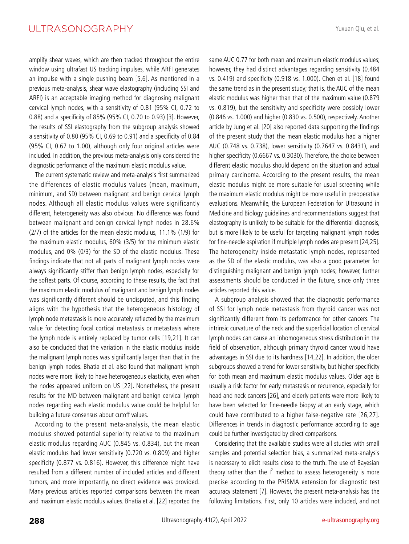amplify shear waves, which are then tracked throughout the entire window using ultrafast US tracking impulses, while ARFI generates an impulse with a single pushing beam [5,6]. As mentioned in a previous meta-analysis, shear wave elastography (including SSI and ARFI) is an acceptable imaging method for diagnosing malignant cervical lymph nodes, with a sensitivity of 0.81 (95% CI, 0.72 to 0.88) and a specificity of 85% (95% CI, 0.70 to 0.93) [3]. However, the results of SSI elastography from the subgroup analysis showed a sensitivity of 0.80 (95% CI, 0.69 to 0.91) and a specificity of 0.84 (95% CI, 0.67 to 1.00), although only four original articles were included. In addition, the previous meta-analysis only considered the diagnostic performance of the maximum elastic modulus value.

The current systematic review and meta-analysis first summarized the differences of elastic modulus values (mean, maximum, minimum, and SD) between malignant and benign cervical lymph nodes. Although all elastic modulus values were significantly different, heterogeneity was also obvious. No difference was found between malignant and benign cervical lymph nodes in 28.6% (2/7) of the articles for the mean elastic modulus, 11.1% (1/9) for the maximum elastic modulus, 60% (3/5) for the minimum elastic modulus, and 0% (0/3) for the SD of the elastic modulus. These findings indicate that not all parts of malignant lymph nodes were always significantly stiffer than benign lymph nodes, especially for the softest parts. Of course, according to these results, the fact that the maximum elastic modulus of malignant and benign lymph nodes was significantly different should be undisputed, and this finding aligns with the hypothesis that the heterogeneous histology of lymph node metastasis is more accurately reflected by the maximum value for detecting focal cortical metastasis or metastasis where the lymph node is entirely replaced by tumor cells [19,21]. It can also be concluded that the variation in the elastic modulus inside the malignant lymph nodes was significantly larger than that in the benign lymph nodes. Bhatia et al. also found that malignant lymph nodes were more likely to have heterogeneous elasticity, even when the nodes appeared uniform on US [22]. Nonetheless, the present results for the MD between malignant and benign cervical lymph nodes regarding each elastic modulus value could be helpful for building a future consensus about cutoff values.

According to the present meta-analysis, the mean elastic modulus showed potential superiority relative to the maximum elastic modulus regarding AUC (0.845 vs. 0.834), but the mean elastic modulus had lower sensitivity (0.720 vs. 0.809) and higher specificity (0.877 vs. 0.816). However, this difference might have resulted from a different number of included articles and different tumors, and more importantly, no direct evidence was provided. Many previous articles reported comparisons between the mean and maximum elastic modulus values. Bhatia et al. [22] reported the

same AUC 0.77 for both mean and maximum elastic modulus values; however, they had distinct advantages regarding sensitivity (0.484 vs. 0.419) and specificity (0.918 vs. 1.000). Chen et al. [18] found the same trend as in the present study; that is, the AUC of the mean elastic modulus was higher than that of the maximum value (0.879 vs. 0.819), but the sensitivity and specificity were possibly lower (0.846 vs. 1.000) and higher (0.830 vs. 0.500), respectively. Another article by Jung et al. [20] also reported data supporting the findings of the present study that the mean elastic modulus had a higher AUC (0.748 vs. 0.738), lower sensitivity (0.7647 vs. 0.8431), and higher specificity (0.6667 vs. 0.3030). Therefore, the choice between different elastic modulus should depend on the situation and actual primary carcinoma. According to the present results, the mean elastic modulus might be more suitable for usual screening while the maximum elastic modulus might be more useful in preoperative evaluations. Meanwhile, the European Federation for Ultrasound in Medicine and Biology guidelines and recommendations suggest that elastography is unlikely to be suitable for the differential diagnosis, but is more likely to be useful for targeting malignant lymph nodes for fine-needle aspiration if multiple lymph nodes are present [24,25]. The heterogeneity inside metastatic lymph nodes, represented as the SD of the elastic modulus, was also a good parameter for distinguishing malignant and benign lymph nodes; however, further assessments should be conducted in the future, since only three articles reported this value.

A subgroup analysis showed that the diagnostic performance of SSI for lymph node metastasis from thyroid cancer was not significantly different from its performance for other cancers. The intrinsic curvature of the neck and the superficial location of cervical lymph nodes can cause an inhomogeneous stress distribution in the field of observation, although primary thyroid cancer would have advantages in SSI due to its hardness [14,22]. In addition, the older subgroups showed a trend for lower sensitivity, but higher specificity for both mean and maximum elastic modulus values. Older age is usually a risk factor for early metastasis or recurrence, especially for head and neck cancers [26], and elderly patients were more likely to have been selected for fine-needle biopsy at an early stage, which could have contributed to a higher false-negative rate [26,27]. Differences in trends in diagnostic performance according to age could be further investigated by direct comparisons.

Considering that the available studies were all studies with small samples and potential selection bias, a summarized meta-analysis is necessary to elicit results close to the truth. The use of Bayesian theory rather than the  $I^2$  method to assess heterogeneity is more precise according to the PRISMA extension for diagnostic test accuracy statement [7]. However, the present meta-analysis has the following limitations. First, only 10 articles were included, and not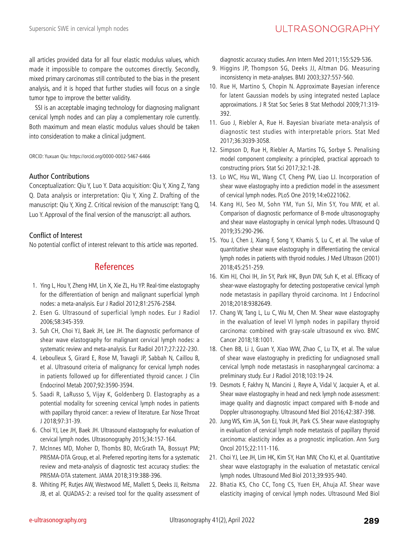all articles provided data for all four elastic modulus values, which made it impossible to compare the outcomes directly. Secondly, mixed primary carcinomas still contributed to the bias in the present analysis, and it is hoped that further studies will focus on a single tumor type to improve the better validity.

SSI is an acceptable imaging technology for diagnosing malignant cervical lymph nodes and can play a complementary role currently. Both maximum and mean elastic modulus values should be taken into consideration to make a clinical judgment.

ORCID: Yuxuan Qiu: https://orcid.org/0000-0002-5467-6466

## Author Contributions

Conceptualization: Qiu Y, Luo Y. Data acquisition: Qiu Y, Xing Z, Yang Q. Data analysis or interpretation: Qiu Y, Xing Z. Drafting of the manuscript: Qiu Y, Xing Z. Critical revision of the manuscript: Yang Q, Luo Y. Approval of the final version of the manuscript: all authors.

## Conflict of Interest

No potential conflict of interest relevant to this article was reported.

## References

- 1. Ying L, Hou Y, Zheng HM, Lin X, Xie ZL, Hu YP. Real-time elastography for the differentiation of benign and malignant superficial lymph nodes: a meta-analysis. Eur J Radiol 2012;81:2576-2584.
- 2. Esen G. Ultrasound of superficial lymph nodes. Eur J Radiol 2006;58:345-359.
- 3. Suh CH, Choi YJ, Baek JH, Lee JH. The diagnostic performance of shear wave elastography for malignant cervical lymph nodes: a systematic review and meta-analysis. Eur Radiol 2017;27:222-230.
- 4. Leboulleux S, Girard E, Rose M, Travagli JP, Sabbah N, Caillou B, et al. Ultrasound criteria of malignancy for cervical lymph nodes in patients followed up for differentiated thyroid cancer. J Clin Endocrinol Metab 2007;92:3590-3594.
- 5. Saadi R, LaRusso S, Vijay K, Goldenberg D. Elastography as a potential modality for screening cervical lymph nodes in patients with papillary thyroid cancer: a review of literature. Ear Nose Throat J 2018;97:31-39.
- 6. Choi YJ, Lee JH, Baek JH. Ultrasound elastography for evaluation of cervical lymph nodes. Ultrasonography 2015;34:157-164.
- 7. McInnes MD, Moher D, Thombs BD, McGrath TA, Bossuyt PM; PRISMA-DTA Group, et al. Preferred reporting items for a systematic review and meta-analysis of diagnostic test accuracy studies: the PRISMA-DTA statement. JAMA 2018;319:388-396.
- 8. Whiting PF, Rutjes AW, Westwood ME, Mallett S, Deeks JJ, Reitsma JB, et al. QUADAS-2: a revised tool for the quality assessment of

diagnostic accuracy studies. Ann Intern Med 2011;155:529-536.

- 9. Higgins JP, Thompson SG, Deeks JJ, Altman DG. Measuring inconsistency in meta-analyses. BMJ 2003;327:557-560.
- 10. Rue H, Martino S, Chopin N. Approximate Bayesian inference for latent Gaussian models by using integrated nested Laplace approximations. J R Stat Soc Series B Stat Methodol 2009;71:319- 392.
- 11. Guo J, Riebler A, Rue H. Bayesian bivariate meta-analysis of diagnostic test studies with interpretable priors. Stat Med 2017;36:3039-3058.
- 12. Simpson D, Rue H, Riebler A, Martins TG, Sorbye S. Penalising model component complexity: a principled, practical approach to constructing priors. Stat Sci 2017;32:1-28.
- 13. Lo WC, Hsu WL, Wang CT, Cheng PW, Liao LJ. Incorporation of shear wave elastography into a prediction model in the assessment of cervical lymph nodes. PLoS One 2019;14:e0221062.
- 14. Kang HJ, Seo M, Sohn YM, Yun SJ, Min SY, You MW, et al. Comparison of diagnostic performance of B-mode ultrasonography and shear wave elastography in cervical lymph nodes. Ultrasound Q 2019;35:290-296.
- 15. You J, Chen J, Xiang F, Song Y, Khamis S, Lu C, et al. The value of quantitative shear wave elastography in differentiating the cervical lymph nodes in patients with thyroid nodules. J Med Ultrason (2001) 2018;45:251-259.
- 16. Kim HJ, Choi IH, Jin SY, Park HK, Byun DW, Suh K, et al. Efficacy of shear-wave elastography for detecting postoperative cervical lymph node metastasis in papillary thyroid carcinoma. Int J Endocrinol 2018;2018:9382649.
- 17. Chang W, Tang L, Lu C, Wu M, Chen M. Shear wave elastography in the evaluation of level VI lymph nodes in papillary thyroid carcinoma: combined with gray-scale ultrasound ex vivo. BMC Cancer 2018;18:1001.
- 18. Chen BB, Li J, Guan Y, Xiao WW, Zhao C, Lu TX, et al. The value of shear wave elastography in predicting for undiagnosed small cervical lymph node metastasis in nasopharyngeal carcinoma: a preliminary study. Eur J Radiol 2018;103:19-24.
- 19. Desmots F, Fakhry N, Mancini J, Reyre A, Vidal V, Jacquier A, et al. Shear wave elastography in head and neck lymph node assessment: image quality and diagnostic impact compared with B-mode and Doppler ultrasonography. Ultrasound Med Biol 2016;42:387-398.
- 20. Jung WS, Kim JA, Son EJ, Youk JH, Park CS. Shear wave elastography in evaluation of cervical lymph node metastasis of papillary thyroid carcinoma: elasticity index as a prognostic implication. Ann Surg Oncol 2015;22:111-116.
- 21. Choi YJ, Lee JH, Lim HK, Kim SY, Han MW, Cho KJ, et al. Quantitative shear wave elastography in the evaluation of metastatic cervical lymph nodes. Ultrasound Med Biol 2013;39:935-940.
- 22. Bhatia KS, Cho CC, Tong CS, Yuen EH, Ahuja AT. Shear wave elasticity imaging of cervical lymph nodes. Ultrasound Med Biol